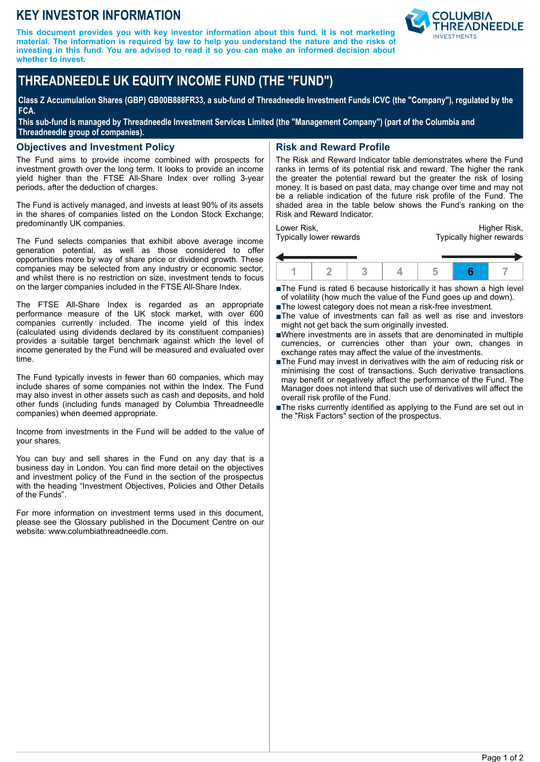## **KEY INVESTOR INFORMATION**

**This document provides you with key investor information about this fund. It is not marketing material. The information is required by law to help you understand the nature and the risks of investing in this fund. You are advised to read it so you can make an informed decision about whether to invest.**



# **THREADNEEDLE UK EQUITY INCOME FUND (THE "FUND")**

**Class Z Accumulation Shares (GBP) GB00B888FR33, a sub-fund of Threadneedle Investment Funds ICVC (the "Company"), regulated by the FCA.**

**This sub-fund is managed by Threadneedle Investment Services Limited (the "Management Company") (part of the Columbia and Threadneedle group of companies).**

## **Objectives and Investment Policy**

The Fund aims to provide income combined with prospects for investment growth over the long term. It looks to provide an income yield higher than the FTSE All-Share Index over rolling 3-year periods, after the deduction of charges.

The Fund is actively managed, and invests at least 90% of its assets in the shares of companies listed on the London Stock Exchange; predominantly UK companies.

The Fund selects companies that exhibit above average income generation potential, as well as those considered to offer opportunities more by way of share price or dividend growth. These companies may be selected from any industry or economic sector, and whilst there is no restriction on size, investment tends to focus on the larger companies included in the FTSE All-Share Index.

The FTSE All-Share Index is regarded as an appropriate performance measure of the UK stock market, with over 600 companies currently included. The income yield of this index (calculated using dividends declared by its constituent companies) provides a suitable target benchmark against which the level of income generated by the Fund will be measured and evaluated over time.

The Fund typically invests in fewer than 60 companies, which may include shares of some companies not within the Index. The Fund may also invest in other assets such as cash and deposits, and hold other funds (including funds managed by Columbia Threadneedle companies) when deemed appropriate.

Income from investments in the Fund will be added to the value of your shares.

You can buy and sell shares in the Fund on any day that is a business day in London. You can find more detail on the objectives and investment policy of the Fund in the section of the prospectus with the heading "Investment Objectives, Policies and Other Details of the Funds".

For more information on investment terms used in this document, please see the Glossary published in the Document Centre on our website: www.columbiathreadneedle.com.

## **Risk and Reward Profile**

The Risk and Reward Indicator table demonstrates where the Fund ranks in terms of its potential risk and reward. The higher the rank the greater the potential reward but the greater the risk of losing money. It is based on past data, may change over time and may not be a reliable indication of the future risk profile of the Fund. The shaded area in the table below shows the Fund's ranking on the Risk and Reward Indicator.

Lower Risk, Typically lower rewards

Higher Risk, Typically higher rewards



■The Fund is rated 6 because historically it has shown a high level of volatility (how much the value of the Fund goes up and down).

- ■The lowest category does not mean a risk-free investment.
- nThe value of investments can fall as well as rise and investors might not get back the sum originally invested.
- nWhere investments are in assets that are denominated in multiple currencies, or currencies other than your own, changes in exchange rates may affect the value of the investments.
- ■The Fund may invest in derivatives with the aim of reducing risk or minimising the cost of transactions. Such derivative transactions may benefit or negatively affect the performance of the Fund. The Manager does not intend that such use of derivatives will affect the overall risk profile of the Fund.
- The risks currently identified as applying to the Fund are set out in the "Risk Factors" section of the prospectus.